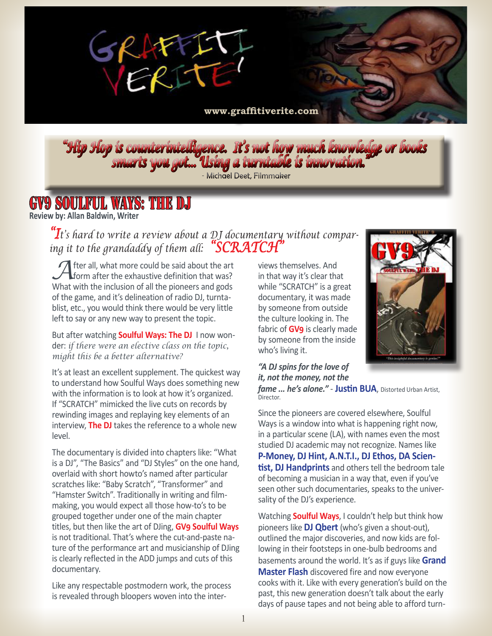

**<www.graffitiverite.com>**

*"Hip Hop is counterintelligence. It's not how much knowledge or books smarts you got... Using a turntable is innovation." "*

Michael Deet, Filmmaker

## **GV9 SOULFUL WAYS: THE D**

**Review by: Allan Baldwin, Writer** 

*"It's hard to write a review about a DJ documentary without comparing it to the grandaddy of them all: "SCRATCH"*

**A** fter all, what more could be said about the art form after the exhaustive definition that was? What with the inclusion of all the pioneers and gods of the game, and it's delineation of radio DJ, turntablist, etc., you would think there would be very little left to say or any new way to present the topic.

But after watching **Soulful Ways: The DJ** I now wonder: *if there were an elective class on the topic, might this be a better alternative?*

It's at least an excellent supplement. The quickest way to understand how Soulful Ways does something new with the information is to look at how it's organized. If "SCRATCH" mimicked the live cuts on records by rewinding images and replaying key elements of an interview, **The DJ** takes the reference to a whole new level.

The documentary is divided into chapters like: "What is a DJ", "The Basics" and "DJ Styles" on the one hand, overlaid with short howto's named after particular scratches like: "Baby Scratch", "Transformer" and "Hamster Switch". Traditionally in writing and filmmaking, you would expect all those how-to's to be grouped together under one of the main chapter titles, but then like the art of DJing, **GV9 Soulful Ways**  is not traditional. That's where the cut-and-paste nature of the performance art and musicianship of DJing is clearly reflected in the ADD jumps and cuts of this documentary.

Like any respectable postmodern work, the process is revealed through bloopers woven into the inter-

views themselves. And in that way it's clear that while "SCRATCH" is a great documentary, it was made by someone from outside the culture looking in. The fabric of **GV9** is clearly made by someone from the inside who's living it.



## *"A DJ spins for the love of it, not the money, not the*

*fame ... he's alone."* - **Justin BUA**, Distorted Urban Artist, Director.

Since the pioneers are covered elsewhere, Soulful Ways is a window into what is happening right now, in a particular scene (LA), with names even the most studied DJ academic may not recognize. Names like **P-Money, DJ Hint, A.N.T.I., DJ Ethos, DA Scientist, DJ Handprints** and others tell the bedroom tale of becoming a musician in a way that, even if you've seen other such documentaries, speaks to the universality of the DJ's experience.

Watching **Soulful Ways**, I couldn't help but think how pioneers like **DJ Qbert** (who's given a shout-out), outlined the major discoveries, and now kids are following in their footsteps in one-bulb bedrooms and basements around the world. It's as if guys like **Grand Master Flash** discovered fire and now everyone cooks with it. Like with every generation's build on the past, this new generation doesn't talk about the early days of pause tapes and not being able to afford turn